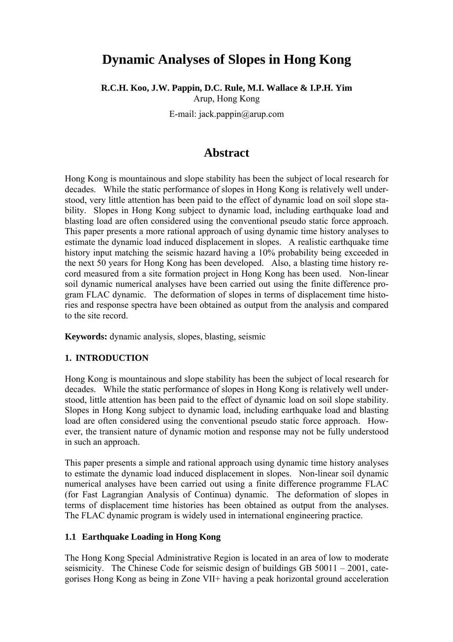# **Dynamic Analyses of Slopes in Hong Kong**

**R.C.H. Koo, J.W. Pappin, D.C. Rule, M.I. Wallace & I.P.H. Yim** 

Arup, Hong Kong

E-mail: jack.pappin@arup.com

## **Abstract**

Hong Kong is mountainous and slope stability has been the subject of local research for decades. While the static performance of slopes in Hong Kong is relatively well understood, very little attention has been paid to the effect of dynamic load on soil slope stability. Slopes in Hong Kong subject to dynamic load, including earthquake load and blasting load are often considered using the conventional pseudo static force approach. This paper presents a more rational approach of using dynamic time history analyses to estimate the dynamic load induced displacement in slopes. A realistic earthquake time history input matching the seismic hazard having a 10% probability being exceeded in the next 50 years for Hong Kong has been developed. Also, a blasting time history record measured from a site formation project in Hong Kong has been used. Non-linear soil dynamic numerical analyses have been carried out using the finite difference program FLAC dynamic. The deformation of slopes in terms of displacement time histories and response spectra have been obtained as output from the analysis and compared to the site record.

**Keywords:** dynamic analysis, slopes, blasting, seismic

### **1. INTRODUCTION**

Hong Kong is mountainous and slope stability has been the subject of local research for decades. While the static performance of slopes in Hong Kong is relatively well understood, little attention has been paid to the effect of dynamic load on soil slope stability. Slopes in Hong Kong subject to dynamic load, including earthquake load and blasting load are often considered using the conventional pseudo static force approach. However, the transient nature of dynamic motion and response may not be fully understood in such an approach.

This paper presents a simple and rational approach using dynamic time history analyses to estimate the dynamic load induced displacement in slopes. Non-linear soil dynamic numerical analyses have been carried out using a finite difference programme FLAC (for Fast Lagrangian Analysis of Continua) dynamic. The deformation of slopes in terms of displacement time histories has been obtained as output from the analyses. The FLAC dynamic program is widely used in international engineering practice.

### **1.1 Earthquake Loading in Hong Kong**

The Hong Kong Special Administrative Region is located in an area of low to moderate seismicity. The Chinese Code for seismic design of buildings GB 50011 – 2001, categorises Hong Kong as being in Zone VII+ having a peak horizontal ground acceleration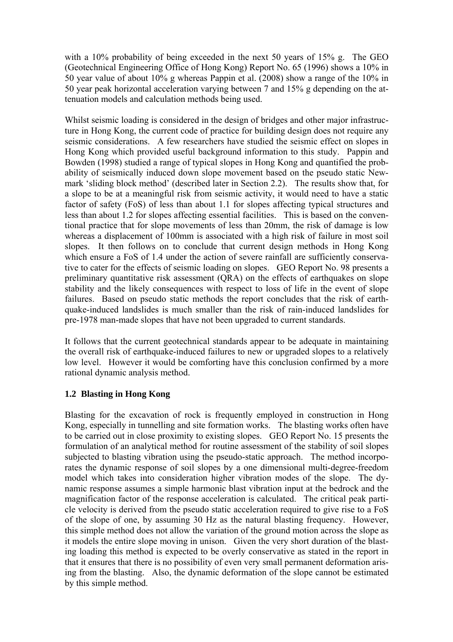with a 10% probability of being exceeded in the next 50 years of 15% g. The GEO (Geotechnical Engineering Office of Hong Kong) Report No. 65 (1996) shows a 10% in 50 year value of about 10% g whereas Pappin et al. (2008) show a range of the 10% in 50 year peak horizontal acceleration varying between 7 and 15% g depending on the attenuation models and calculation methods being used.

Whilst seismic loading is considered in the design of bridges and other major infrastructure in Hong Kong, the current code of practice for building design does not require any seismic considerations. A few researchers have studied the seismic effect on slopes in Hong Kong which provided useful background information to this study. Pappin and Bowden (1998) studied a range of typical slopes in Hong Kong and quantified the probability of seismically induced down slope movement based on the pseudo static Newmark 'sliding block method' (described later in Section 2.2). The results show that, for a slope to be at a meaningful risk from seismic activity, it would need to have a static factor of safety (FoS) of less than about 1.1 for slopes affecting typical structures and less than about 1.2 for slopes affecting essential facilities. This is based on the conventional practice that for slope movements of less than 20mm, the risk of damage is low whereas a displacement of 100mm is associated with a high risk of failure in most soil slopes. It then follows on to conclude that current design methods in Hong Kong which ensure a FoS of 1.4 under the action of severe rainfall are sufficiently conservative to cater for the effects of seismic loading on slopes. GEO Report No. 98 presents a preliminary quantitative risk assessment (QRA) on the effects of earthquakes on slope stability and the likely consequences with respect to loss of life in the event of slope failures. Based on pseudo static methods the report concludes that the risk of earthquake-induced landslides is much smaller than the risk of rain-induced landslides for pre-1978 man-made slopes that have not been upgraded to current standards.

It follows that the current geotechnical standards appear to be adequate in maintaining the overall risk of earthquake-induced failures to new or upgraded slopes to a relatively low level. However it would be comforting have this conclusion confirmed by a more rational dynamic analysis method.

### **1.2 Blasting in Hong Kong**

Blasting for the excavation of rock is frequently employed in construction in Hong Kong, especially in tunnelling and site formation works. The blasting works often have to be carried out in close proximity to existing slopes. GEO Report No. 15 presents the formulation of an analytical method for routine assessment of the stability of soil slopes subjected to blasting vibration using the pseudo-static approach. The method incorporates the dynamic response of soil slopes by a one dimensional multi-degree-freedom model which takes into consideration higher vibration modes of the slope. The dynamic response assumes a simple harmonic blast vibration input at the bedrock and the magnification factor of the response acceleration is calculated. The critical peak particle velocity is derived from the pseudo static acceleration required to give rise to a FoS of the slope of one, by assuming 30 Hz as the natural blasting frequency. However, this simple method does not allow the variation of the ground motion across the slope as it models the entire slope moving in unison. Given the very short duration of the blasting loading this method is expected to be overly conservative as stated in the report in that it ensures that there is no possibility of even very small permanent deformation arising from the blasting. Also, the dynamic deformation of the slope cannot be estimated by this simple method.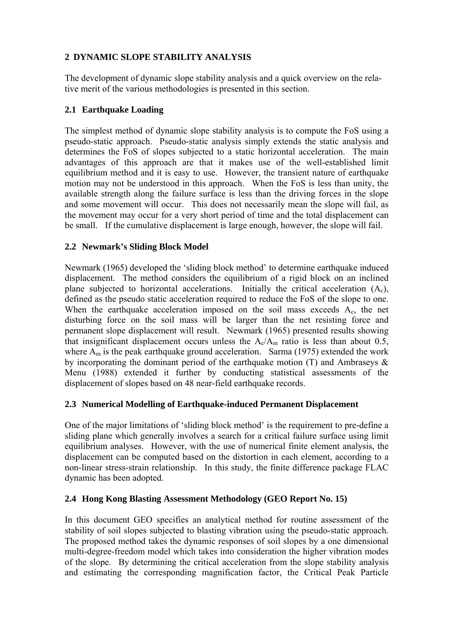### **2 DYNAMIC SLOPE STABILITY ANALYSIS**

The development of dynamic slope stability analysis and a quick overview on the relative merit of the various methodologies is presented in this section.

### **2.1 Earthquake Loading**

The simplest method of dynamic slope stability analysis is to compute the FoS using a pseudo-static approach. Pseudo-static analysis simply extends the static analysis and determines the FoS of slopes subjected to a static horizontal acceleration. The main advantages of this approach are that it makes use of the well-established limit equilibrium method and it is easy to use. However, the transient nature of earthquake motion may not be understood in this approach. When the FoS is less than unity, the available strength along the failure surface is less than the driving forces in the slope and some movement will occur. This does not necessarily mean the slope will fail, as the movement may occur for a very short period of time and the total displacement can be small. If the cumulative displacement is large enough, however, the slope will fail.

### **2.2 Newmark's Sliding Block Model**

Newmark (1965) developed the 'sliding block method' to determine earthquake induced displacement. The method considers the equilibrium of a rigid block on an inclined plane subjected to horizontal accelerations. Initially the critical acceleration (Ac), defined as the pseudo static acceleration required to reduce the FoS of the slope to one. When the earthquake acceleration imposed on the soil mass exceeds  $A_c$ , the net disturbing force on the soil mass will be larger than the net resisting force and permanent slope displacement will result. Newmark (1965) presented results showing that insignificant displacement occurs unless the  $A_c/A_m$  ratio is less than about 0.5, where  $A_m$  is the peak earthquake ground acceleration. Sarma (1975) extended the work by incorporating the dominant period of the earthquake motion  $(T)$  and Ambraseys  $\&$ Menu (1988) extended it further by conducting statistical assessments of the displacement of slopes based on 48 near-field earthquake records.

### **2.3 Numerical Modelling of Earthquake-induced Permanent Displacement**

One of the major limitations of 'sliding block method' is the requirement to pre-define a sliding plane which generally involves a search for a critical failure surface using limit equilibrium analyses. However, with the use of numerical finite element analysis, the displacement can be computed based on the distortion in each element, according to a non-linear stress-strain relationship. In this study, the finite difference package FLAC dynamic has been adopted.

### **2.4 Hong Kong Blasting Assessment Methodology (GEO Report No. 15)**

In this document GEO specifies an analytical method for routine assessment of the stability of soil slopes subjected to blasting vibration using the pseudo-static approach. The proposed method takes the dynamic responses of soil slopes by a one dimensional multi-degree-freedom model which takes into consideration the higher vibration modes of the slope. By determining the critical acceleration from the slope stability analysis and estimating the corresponding magnification factor, the Critical Peak Particle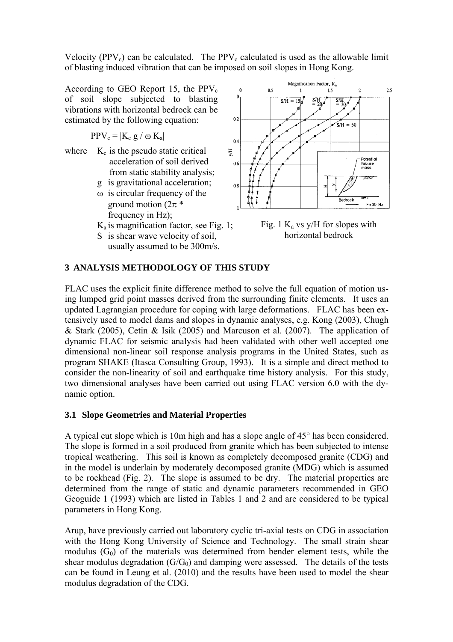Velocity (PPV<sub>c</sub>) can be calculated. The PPV<sub>c</sub> calculated is used as the allowable limit of blasting induced vibration that can be imposed on soil slopes in Hong Kong.

According to GEO Report 15, the  $PPV_c$ of soil slope subjected to blasting vibrations with horizontal bedrock can be estimated by the following equation:

$$
PPV_c = |K_c g / \omega K_a|
$$

- where  $K_c$  is the pseudo static critical acceleration of soil derived from static stability analysis;
	- g is gravitational acceleration;
	- ω is circular frequency of the ground motion ( $2\pi$ <sup>\*</sup> frequency in Hz);
	- $K_a$  is magnification factor, see Fig. 1;
	- S is shear wave velocity of soil, usually assumed to be 300m/s.



Fig. 1  $K_a$  vs y/H for slopes with horizontal bedrock

### **3 ANALYSIS METHODOLOGY OF THIS STUDY**

FLAC uses the explicit finite difference method to solve the full equation of motion using lumped grid point masses derived from the surrounding finite elements. It uses an updated Lagrangian procedure for coping with large deformations. FLAC has been extensively used to model dams and slopes in dynamic analyses, e.g. Kong (2003), Chugh & Stark (2005), Cetin & Isik (2005) and Marcuson et al. (2007). The application of dynamic FLAC for seismic analysis had been validated with other well accepted one dimensional non-linear soil response analysis programs in the United States, such as program SHAKE (Itasca Consulting Group, 1993). It is a simple and direct method to consider the non-linearity of soil and earthquake time history analysis. For this study, two dimensional analyses have been carried out using FLAC version 6.0 with the dynamic option.

#### **3.1 Slope Geometries and Material Properties**

A typical cut slope which is 10m high and has a slope angle of 45° has been considered. The slope is formed in a soil produced from granite which has been subjected to intense tropical weathering. This soil is known as completely decomposed granite (CDG) and in the model is underlain by moderately decomposed granite (MDG) which is assumed to be rockhead (Fig. 2). The slope is assumed to be dry. The material properties are determined from the range of static and dynamic parameters recommended in GEO Geoguide 1 (1993) which are listed in Tables 1 and 2 and are considered to be typical parameters in Hong Kong.

Arup, have previously carried out laboratory cyclic tri-axial tests on CDG in association with the Hong Kong University of Science and Technology. The small strain shear modulus  $(G<sub>0</sub>)$  of the materials was determined from bender element tests, while the shear modulus degradation  $(G/G_0)$  and damping were assessed. The details of the tests can be found in Leung et al. (2010) and the results have been used to model the shear modulus degradation of the CDG.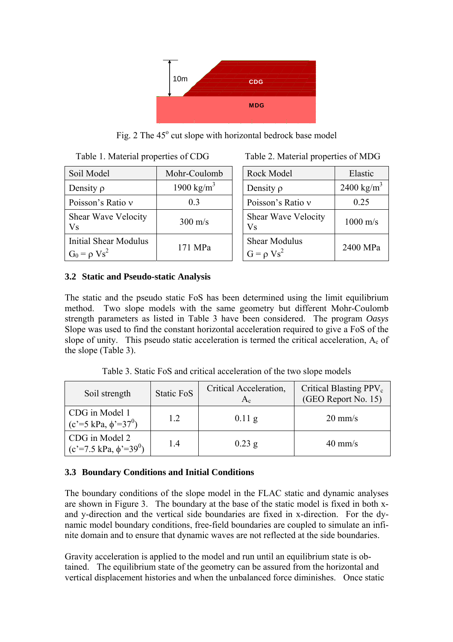

Fig. 2 The 45° cut slope with horizontal bedrock base model

| Table 1. Material properties of CDG               |                        |  | Table 2. Material properties of MDG     |                        |  |
|---------------------------------------------------|------------------------|--|-----------------------------------------|------------------------|--|
| Soil Model                                        | Mohr-Coulomb           |  | Rock Model                              | Elastic                |  |
| Density $\rho$                                    | 1900 kg/m <sup>3</sup> |  | Density $\rho$                          | 2400 kg/m <sup>3</sup> |  |
| Poisson's Ratio v                                 | 0 <sup>3</sup>         |  | Poisson's Ratio v                       | 0.25                   |  |
| Shear Wave Velocity<br><b>Vs</b>                  | $300 \text{ m/s}$      |  | Shear Wave Velocity<br>Vs               | $1000$ m/s             |  |
| <b>Initial Shear Modulus</b><br>$G_0 = \rho Vs^2$ | 171 MPa                |  | <b>Shear Modulus</b><br>$G = \rho Vs^2$ | 2400 MPa               |  |

| Rock Model                              | Elastic                |
|-----------------------------------------|------------------------|
| Density $\rho$                          | 2400 kg/m <sup>3</sup> |
| Poisson's Ratio y                       | 0.25                   |
| <b>Shear Wave Velocity</b><br>Vs        | $1000 \text{ m/s}$     |
| <b>Shear Modulus</b><br>$G = \rho Vs^2$ | 2400 MPa               |

### **3.2 Static and Pseudo-static Analysis**

The static and the pseudo static FoS has been determined using the limit equilibrium method. Two slope models with the same geometry but different Mohr-Coulomb strength parameters as listed in Table 3 have been considered. The program *Oasys* Slope was used to find the constant horizontal acceleration required to give a FoS of the slope of unity. This pseudo static acceleration is termed the critical acceleration,  $A_c$  of the slope (Table 3).

Table 3. Static FoS and critical acceleration of the two slope models

| Soil strength                                        | Static FoS | Critical Acceleration,<br>$A_{c}$ | Critical Blasting PPV <sub>c</sub><br>(GEO Report No. 15) |
|------------------------------------------------------|------------|-----------------------------------|-----------------------------------------------------------|
| CDG in Model 1<br>$(c'=5 kPa, \phi'=37^0)$           | 1.2        | $0.11\,\mathrm{g}$                | $20 \text{ mm/s}$                                         |
| CDG in Model 2<br>$(c'=7.5 \text{ kPa}, \phi'=39^0)$ | 14         | $0.23$ g                          | $40 \text{ mm/s}$                                         |

### **3.3 Boundary Conditions and Initial Conditions**

The boundary conditions of the slope model in the FLAC static and dynamic analyses are shown in Figure 3. The boundary at the base of the static model is fixed in both xand y-direction and the vertical side boundaries are fixed in x-direction. For the dynamic model boundary conditions, free-field boundaries are coupled to simulate an infinite domain and to ensure that dynamic waves are not reflected at the side boundaries.

Gravity acceleration is applied to the model and run until an equilibrium state is obtained. The equilibrium state of the geometry can be assured from the horizontal and vertical displacement histories and when the unbalanced force diminishes. Once static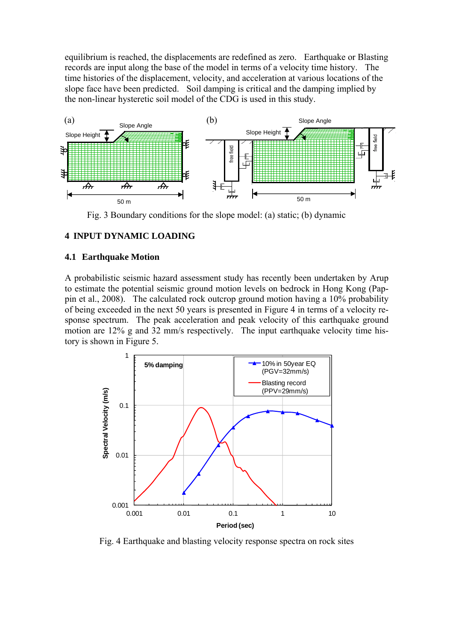equilibrium is reached, the displacements are redefined as zero. Earthquake or Blasting records are input along the base of the model in terms of a velocity time history. The time histories of the displacement, velocity, and acceleration at various locations of the slope face have been predicted. Soil damping is critical and the damping implied by the non-linear hysteretic soil model of the CDG is used in this study.



Fig. 3 Boundary conditions for the slope model: (a) static; (b) dynamic

### **4 INPUT DYNAMIC LOADING**

#### **4.1 Earthquake Motion**

A probabilistic seismic hazard assessment study has recently been undertaken by Arup to estimate the potential seismic ground motion levels on bedrock in Hong Kong (Pappin et al., 2008). The calculated rock outcrop ground motion having a 10% probability of being exceeded in the next 50 years is presented in Figure 4 in terms of a velocity response spectrum. The peak acceleration and peak velocity of this earthquake ground motion are 12% g and 32 mm/s respectively. The input earthquake velocity time history is shown in Figure 5.



Fig. 4 Earthquake and blasting velocity response spectra on rock sites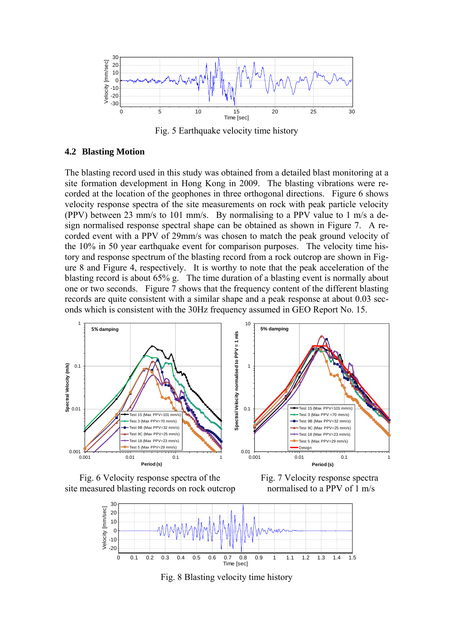

Fig. 5 Earthquake velocity time history

#### **4.2 Blasting Motion**

The blasting record used in this study was obtained from a detailed blast monitoring at a site formation development in Hong Kong in 2009. The blasting vibrations were recorded at the location of the geophones in three orthogonal directions. Figure 6 shows velocity response spectra of the site measurements on rock with peak particle velocity (PPV) between 23 mm/s to 101 mm/s. By normalising to a PPV value to 1 m/s a design normalised response spectral shape can be obtained as shown in Figure 7. A recorded event with a PPV of 29mm/s was chosen to match the peak ground velocity of the 10% in 50 year earthquake event for comparison purposes. The velocity time history and response spectrum of the blasting record from a rock outcrop are shown in Figure 8 and Figure 4, respectively. It is worthy to note that the peak acceleration of the blasting record is about 65% g. The time duration of a blasting event is normally about one or two seconds. Figure 7 shows that the frequency content of the different blasting records are quite consistent with a similar shape and a peak response at about 0.03 seconds which is consistent with the 30Hz frequency assumed in GEO Report No. 15.



Fig. 6 Velocity response spectra of the Fig. 7 Velocity response spectra site measured blasting records on rock outcrop normalised to a PPV of 1 m/s



Fig. 8 Blasting velocity time history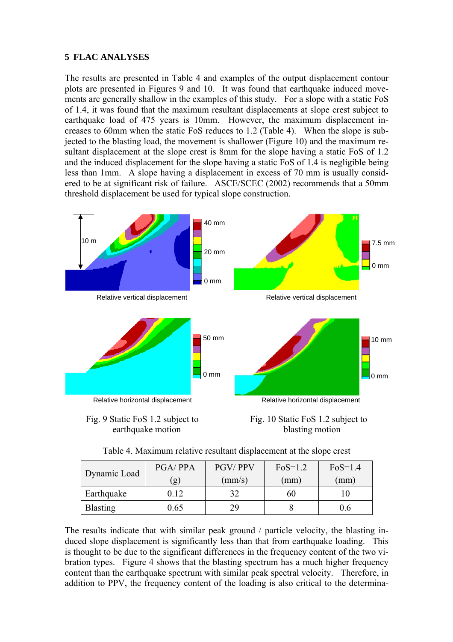### **5 FLAC ANALYSES**

The results are presented in Table 4 and examples of the output displacement contour plots are presented in Figures 9 and 10. It was found that earthquake induced movements are generally shallow in the examples of this study. For a slope with a static FoS of 1.4, it was found that the maximum resultant displacements at slope crest subject to earthquake load of 475 years is 10mm. However, the maximum displacement increases to 60mm when the static FoS reduces to 1.2 (Table 4). When the slope is subjected to the blasting load, the movement is shallower (Figure 10) and the maximum resultant displacement at the slope crest is 8mm for the slope having a static FoS of 1.2 and the induced displacement for the slope having a static FoS of 1.4 is negligible being less than 1mm. A slope having a displacement in excess of 70 mm is usually considered to be at significant risk of failure. ASCE/SCEC (2002) recommends that a 50mm threshold displacement be used for typical slope construction.



Fig. 9 Static FoS 1.2 subject to Fig. 10 Static FoS 1.2 subject to earthquake motion blasting motion

| Table 4. Maximum relative resultant displacement at the slope crest |  |
|---------------------------------------------------------------------|--|
|---------------------------------------------------------------------|--|

| Dynamic Load    | <b>PGA/PPA</b> | <b>PGV/PPV</b>  | $FoS=1.2$ | $F0S=1.4$ |
|-----------------|----------------|-----------------|-----------|-----------|
|                 | (g)            | $\text{(mm/s)}$ | (mm)      | (mm)      |
| Earthquake      | 0.12           |                 | 60        |           |
| <b>Blasting</b> | 0.65           | 29.             |           | 0.6       |

The results indicate that with similar peak ground / particle velocity, the blasting induced slope displacement is significantly less than that from earthquake loading. This is thought to be due to the significant differences in the frequency content of the two vibration types. Figure 4 shows that the blasting spectrum has a much higher frequency content than the earthquake spectrum with similar peak spectral velocity. Therefore, in addition to PPV, the frequency content of the loading is also critical to the determina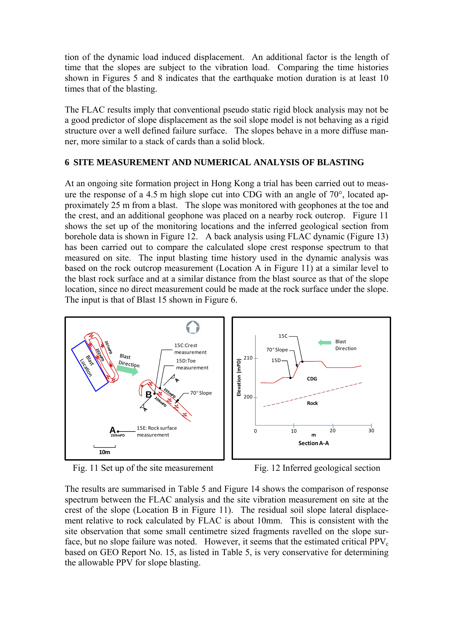tion of the dynamic load induced displacement. An additional factor is the length of time that the slopes are subject to the vibration load. Comparing the time histories shown in Figures 5 and 8 indicates that the earthquake motion duration is at least 10 times that of the blasting.

The FLAC results imply that conventional pseudo static rigid block analysis may not be a good predictor of slope displacement as the soil slope model is not behaving as a rigid structure over a well defined failure surface. The slopes behave in a more diffuse manner, more similar to a stack of cards than a solid block.

### **6 SITE MEASUREMENT AND NUMERICAL ANALYSIS OF BLASTING**

At an ongoing site formation project in Hong Kong a trial has been carried out to measure the response of a 4.5 m high slope cut into CDG with an angle of 70°, located approximately 25 m from a blast. The slope was monitored with geophones at the toe and the crest, and an additional geophone was placed on a nearby rock outcrop. Figure 11 shows the set up of the monitoring locations and the inferred geological section from borehole data is shown in Figure 12. A back analysis using FLAC dynamic (Figure 13) has been carried out to compare the calculated slope crest response spectrum to that measured on site. The input blasting time history used in the dynamic analysis was based on the rock outcrop measurement (Location A in Figure 11) at a similar level to the blast rock surface and at a similar distance from the blast source as that of the slope location, since no direct measurement could be made at the rock surface under the slope. The input is that of Blast 15 shown in Figure 6.



Fig. 11 Set up of the site measurement Fig. 12 Inferred geological section

The results are summarised in Table 5 and Figure 14 shows the comparison of response spectrum between the FLAC analysis and the site vibration measurement on site at the crest of the slope (Location B in Figure 11). The residual soil slope lateral displacement relative to rock calculated by FLAC is about 10mm. This is consistent with the site observation that some small centimetre sized fragments ravelled on the slope surface, but no slope failure was noted. However, it seems that the estimated critical  $PPV_c$ based on GEO Report No. 15, as listed in Table 5, is very conservative for determining the allowable PPV for slope blasting.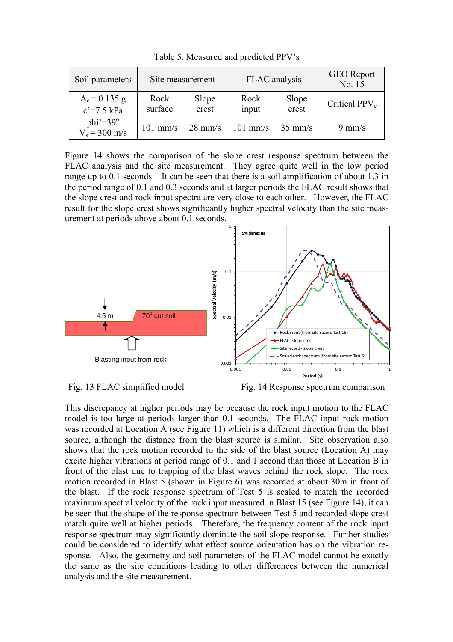| Soil parameters                      | Site measurement |                   | FLAC analysis      |                   | <b>GEO</b> Report<br>No. 15 |
|--------------------------------------|------------------|-------------------|--------------------|-------------------|-----------------------------|
| $A_c = 0.135 g$<br>$c' = 7.5$ kPa    | Rock<br>surface  | Slope<br>crest    | Rock<br>input      | Slope<br>crest    | Critical $PPV_c$            |
| $phi' = 39^\circ$<br>$V_s = 300$ m/s | $101$ mm/s       | $28 \text{ mm/s}$ | $101 \text{ mm/s}$ | $35 \text{ mm/s}$ | $9 \text{ mm/s}$            |

Table 5. Measured and predicted PPV's

Figure 14 shows the comparison of the slope crest response spectrum between the FLAC analysis and the site measurement. They agree quite well in the low period range up to 0.1 seconds. It can be seen that there is a soil amplification of about 1.3 in the period range of 0.1 and 0.3 seconds and at larger periods the FLAC result shows that the slope crest and rock input spectra are very close to each other. However, the FLAC result for the slope crest shows significantly higher spectral velocity than the site measurement at periods above about 0.1 seconds.





This discrepancy at higher periods may be because the rock input motion to the FLAC model is too large at periods larger than 0.1 seconds. The FLAC input rock motion was recorded at Location A (see Figure 11) which is a different direction from the blast source, although the distance from the blast source is similar. Site observation also shows that the rock motion recorded to the side of the blast source (Location A) may excite higher vibrations at period range of 0.1 and 1 second than those at Location B in front of the blast due to trapping of the blast waves behind the rock slope. The rock motion recorded in Blast 5 (shown in Figure 6) was recorded at about 30m in front of the blast. If the rock response spectrum of Test 5 is scaled to match the recorded maximum spectral velocity of the rock input measured in Blast 15 (see Figure 14), it can be seen that the shape of the response spectrum between Test 5 and recorded slope crest match quite well at higher periods. Therefore, the frequency content of the rock input response spectrum may significantly dominate the soil slope response. Further studies could be considered to identify what effect source orientation has on the vibration response. Also, the geometry and soil parameters of the FLAC model cannot be exactly the same as the site conditions leading to other differences between the numerical analysis and the site measurement.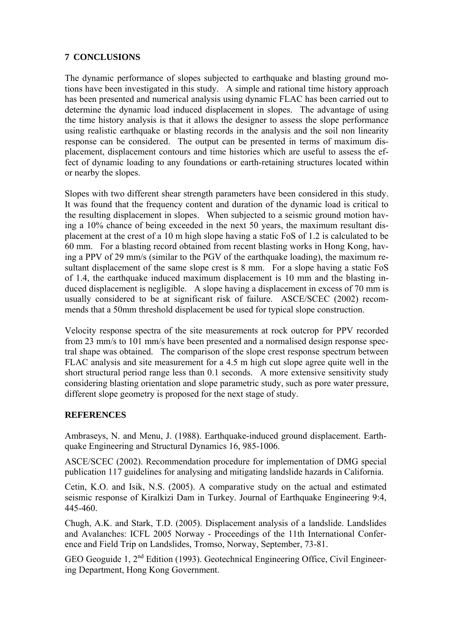### **7 CONCLUSIONS**

The dynamic performance of slopes subjected to earthquake and blasting ground motions have been investigated in this study. A simple and rational time history approach has been presented and numerical analysis using dynamic FLAC has been carried out to determine the dynamic load induced displacement in slopes. The advantage of using the time history analysis is that it allows the designer to assess the slope performance using realistic earthquake or blasting records in the analysis and the soil non linearity response can be considered. The output can be presented in terms of maximum displacement, displacement contours and time histories which are useful to assess the effect of dynamic loading to any foundations or earth-retaining structures located within or nearby the slopes.

Slopes with two different shear strength parameters have been considered in this study. It was found that the frequency content and duration of the dynamic load is critical to the resulting displacement in slopes. When subjected to a seismic ground motion having a 10% chance of being exceeded in the next 50 years, the maximum resultant displacement at the crest of a 10 m high slope having a static FoS of 1.2 is calculated to be 60 mm. For a blasting record obtained from recent blasting works in Hong Kong, having a PPV of 29 mm/s (similar to the PGV of the earthquake loading), the maximum resultant displacement of the same slope crest is 8 mm. For a slope having a static FoS of 1.4, the earthquake induced maximum displacement is 10 mm and the blasting induced displacement is negligible. A slope having a displacement in excess of 70 mm is usually considered to be at significant risk of failure. ASCE/SCEC (2002) recommends that a 50mm threshold displacement be used for typical slope construction.

Velocity response spectra of the site measurements at rock outcrop for PPV recorded from 23 mm/s to 101 mm/s have been presented and a normalised design response spectral shape was obtained. The comparison of the slope crest response spectrum between FLAC analysis and site measurement for a 4.5 m high cut slope agree quite well in the short structural period range less than 0.1 seconds. A more extensive sensitivity study considering blasting orientation and slope parametric study, such as pore water pressure, different slope geometry is proposed for the next stage of study.

### **REFERENCES**

Ambraseys, N. and Menu, J. (1988). Earthquake-induced ground displacement. Earthquake Engineering and Structural Dynamics 16, 985-1006.

ASCE/SCEC (2002). Recommendation procedure for implementation of DMG special publication 117 guidelines for analysing and mitigating landslide hazards in California.

Cetin, K.O. and Isik, N.S. (2005). A comparative study on the actual and estimated seismic response of Kiralkizi Dam in Turkey. Journal of Earthquake Engineering 9:4, 445-460.

Chugh, A.K. and Stark, T.D. (2005). Displacement analysis of a landslide. Landslides and Avalanches: ICFL 2005 Norway - Proceedings of the 11th International Conference and Field Trip on Landslides, Tromso, Norway, September, 73-81.

GEO Geoguide 1, 2nd Edition (1993). Geotechnical Engineering Office, Civil Engineering Department, Hong Kong Government.